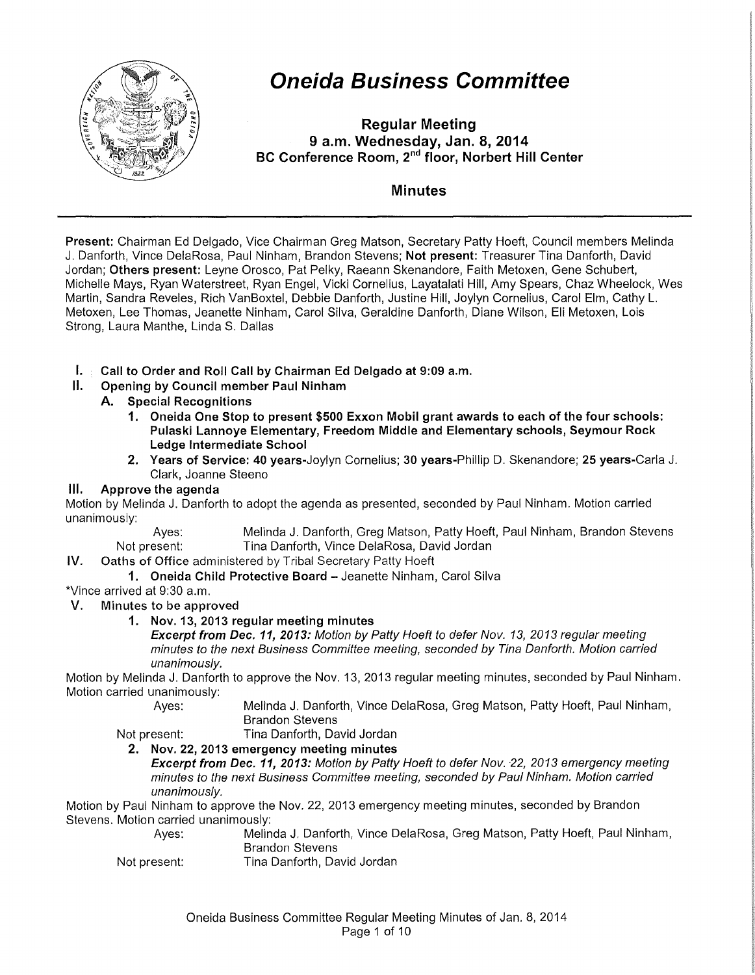

# **Oneida Business Committee**

**Regular Meeting 9 a.m. Wednesday, Jan. 8, 2014 BC Conference Room, 2"d floor, Norbert Hill Center** 

### **Minutes**

**Present:** Chairman Ed Delgado, Vice Chairman Greg Matson, Secretary Patty Hoeft, Council members Melinda J. Danforth, Vince DelaRosa, Paul Ninham, Brandon Stevens; **Not present:** Treasurer Tina Danforth, David Jordan; **Others present:** Leyne Orosco, Pat Pelky, Raeann Skenandore, Faith Metoxen, Gene Schubert, Michelle Mays, Ryan Waterstreet, Ryan Engel, Vicki Cornelius, Layatalati Hill, Amy Spears, Chaz Wheelock, Wes Martin, Sandra Reveles, Rich VanBoxtel, Debbie Danforth, Justine Hill, Joylyn Cornelius, Carol Elm, Cathy L. Metoxen, Lee Thomas, Jeanette Ninham, Carol Silva, Geraldine Danforth, Diane Wilson, Eli Metoxen, Lois Strong, Laura Manthe, Linda S. Dallas

- **I. Call to Order and Roll Call by Chairman Ed Delgado at 9:09 a.m.**
- **II. Opening by Council member Paul Ninham** 
	- **A. Special Recognitions** 
		- **1. Oneida One Stop to present \$500 Exxon Mobil grant awards to each of the four schools: Pulaski Lannoye Elementary, Freedom Middle and Elementary schools, Seymour Rock Ledge Intermediate School**
		- **2. Years of Service: 40** years-Joylyn Cornelius; **30** years-Phillip D. Skenandore; **25** years-Carla J. Clark, Joanne Steeno

#### **Ill. Approve the agenda**

Motion by Melinda J. Danforth to adopt the agenda as presented, seconded by Paul Ninham. Motion carried unanimously:

Ayes: Melinda J. Danforth, Greg Matson, Patty Hoeft, Paul Ninham, Brandon Stevens Not present: Tina Danforth, Vince DelaRosa, David Jordan

- IV. Oaths of Office administered by Tribal Secretary Patty Hoeft
	- **1. Oneida Child Protective Board-** Jeanette Ninham, Carol Silva

\*Vince arrived at 9:30 a.m.

- V. Minutes to be approved
	- **1. Nov. 13, 2013 regular meeting minutes**

**Excerpt from Dec. 11, 2013:** Motion by Patty Hoeft to defer Nov. 13, 2013 regular meeting minutes to the next Business Committee meeting, seconded by Tina Danforth. Motion carried unanimously.

Motion by Melinda J. Danforth to approve the Nov. 13, 2013 regular meeting minutes, seconded by Paul Ninham. Motion carried unanimously:

Ayes: Melinda J. Danforth, Vince DelaRosa, Greg Matson, Patty Hoeft, Paul Ninham, Brandon Stevens

Not present: Tina Danforth, David Jordan **2. Nov. 22, 2013 emergency meeting minutes** 

**Excerpt from Dec. 11, 2013:** Motion by Patty Hoeft to defer Nov. 22, 2013 emergency meeting minutes to the next Business Committee meeting, seconded by Paul Ninham. Motion carried unanimously.

Motion by Paul Ninham to approve the Nov. 22, 2013 emergency meeting minutes, seconded by Brandon Stevens. Motion carried unanimously:

| Aves:        | Melinda J. Danforth, Vince DelaRosa, Greg Matson, Patty Hoeft, Paul Ninham, |
|--------------|-----------------------------------------------------------------------------|
|              | Brandon Stevens                                                             |
| Not present: | Tina Danforth, David Jordan                                                 |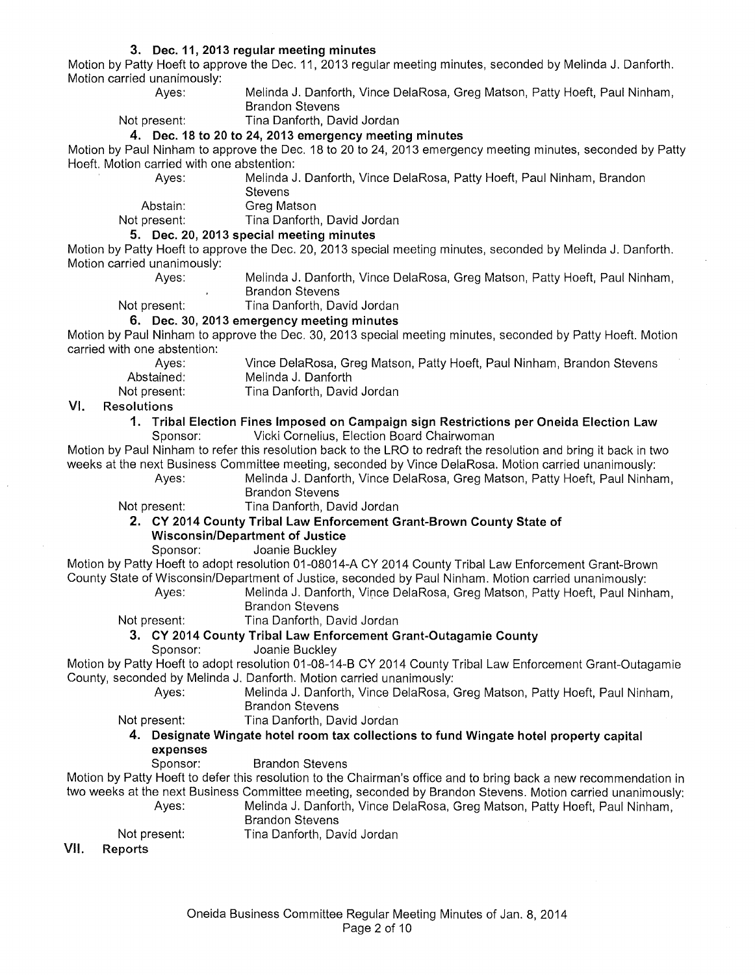#### **3. Dec. 11, 2013 regular meeting minutes**

Motion by Patty Hoeft to approve the Dec. 11, 2013 regular meeting minutes, seconded by Melinda J. Danforth. Motion carried unanimously:

Ayes: Melinda J. Danforth, Vince DelaRosa, Greg Matson, Patty Hoeft, Paul Ninham, Brandon Stevens

Not present: Tina Danforth, David Jordan

#### **4. Dec. 18 to 20 to 24, 2013 emergency meeting minutes**

Motion by Paul Ninham to approve the Dec. 18 to 20 to 24, 2013 emergency meeting minutes, seconded by Patty Hoeft. Motion carried with one abstention:

Melinda J. Danforth, Vince DelaRosa, Patty Hoeft, Paul Ninham, Brandon **Stevens** 

Abstain: Greg Matson<br>Not present: Tina Danforth

#### **5. Dec. 20, 2013 special meeting minutes**

Motion by Patty Hoeft to approve the Dec. 20, 2013 special meeting minutes, seconded by Melinda J. Danforth. Motion carried unanimously:<br>Aves:

Melinda J. Danforth, Vince DelaRosa, Greg Matson, Patty Hoeft, Paul Ninham, Brandon Stevens

Not present: Tina Danforth, David Jordan

**6. Dec. 30, 2013 emergency meeting minutes** 

Motion by Paul Ninham to approve the Dec. 30, 2013 special meeting minutes, seconded by Patty Hoeft. Motion carried with one abstention:

Ayes: Abstained: Not present: Vince DelaRosa, Greg Matson, Patty Hoeft, Paul Ninham, Brandon Stevens Melinda J. Danforth

Tina Danforth, David Jordan

Tina Danforth, David Jordan

#### VI. Resolutions

**1. Tribal Election Fines Imposed on Campaign sign Restrictions per Oneida Election Law**  Sponsor: Vicki Cornelius, Election Board Chairwoman

Motion by Paul Ninham to refer this resolution back to the LRO to redraft the resolution and bring it back in two weeks at the next Business Committee meeting, seconded by Vince DelaRosa. Motion carried unanimously:

Ayes: Melinda J. Danforth, Vince DelaRosa, Greg Matson, Patty Hoeft, Paul Ninham, Brandon Stevens

Not present: Tina Danforth, David Jordan

#### **2. CY 2014 County Tribal Law Enforcement Grant-Brown County State of Wisconsin/Department of Justice**

Sponsor: Joanie Buckley

Motion by Patty Hoeft to adopt resolution 01-08014-A CY 2014 County Tribal Law Enforcement Grant-Brown County State of Wisconsin/Department of Justice, seconded by Paul Ninham. Motion carried unanimously:

> Ayes: Melinda J. Danforth, Vince DelaRosa, Greg Matson, Patty Hoeft, Paul Ninham, Brandon Stevens

Not present: Tina Danforth, David Jordan

#### **3. CY 2014 County Tribal Law Enforcement Grant-Outagamie County**

Sponsor: Joanie Buckley

Motion by Patty Hoeft to adopt resolution 01-08-14-B CY 2014 County Tribal Law Enforcement Grant-Outagamie County, seconded by Melinda J. Danforth. Motion carried unanimously:

> Ayes: Melinda J. Danforth, Vince DelaRosa, Greg Matson, Patty Hoeft, Paul Ninham, Brandon Stevens

Not present: Tina Danforth, David Jordan

- **4. Designate Wingate hotel room tax collections to fund Wingate hotel property capital expenses** 
	- Sponsor: Brandon Stevens

Motion by Patty Hoeft to defer this resolution to the Chairman's office and to bring back a new recommendation in two weeks at the next Business Committee meeting, seconded by Brandon Stevens. Motion carried unanimously:

- Ayes: Melinda J. Danforth, Vince DelaRosa, Greg Matson, Patty Hoeft, Paul Ninham,
	- Brandon Stevens

Not present:

Tina Danforth, David Jordan

VII. Reports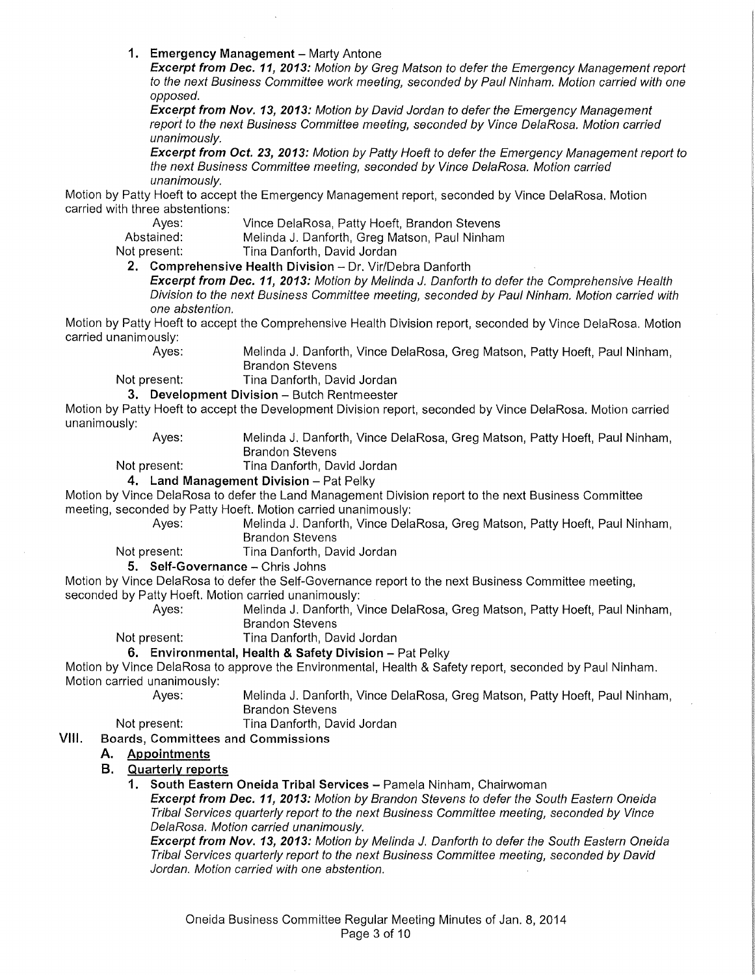**1. Emergency Management - Marty Antone** 

**Excerpt from Dec. 11, 2013:** Motion by Greg Matson to defer the Emergency Management report to the next Business Committee work meeting, seconded by Paul Ninham. Motion carried with one opposed.

**Excerpt from Nov. 13, 2013:** Motion by David Jordan to defer the Emergency Management report to the next Business Committee meeting, seconded by Vince DelaRosa. Motion carried unanimously.

**Excerpt from Oct. 23, 2013:** Motion by Patty Hoeft to defer the Emergency Management report to the next Business Committee meeting, seconded by Vince DelaRosa. Motion carried unanimously.

Motion by Patty Hoeft to accept the Emergency Management report, seconded by Vince DelaRosa. Motion carried with three abstentions:<br>Ayes:

Ayes: Vince DelaRosa, Patty Hoeft, Brandon Stevens<br>Abstained: Melinda J. Danforth, Greg Matson. Paul Ninham Abstained: Melinda J. Danforth, Greg Matson, Paul Ninham<br>
Not present: Tina Danforth, David Jordan

**2. Comprehensive Health Division-** Dr. Vir/Debra Danforth

Tina Danforth, David Jordan

**Excerpt from Dec. 11, 2013:** Motion by Melinda J. Danforth to defer the Comprehensive Health Division to the next Business Committee meeting, seconded by Paul Ninham. Motion carried with one abstention.

Motion by Patty Hoeft to accept the Comprehensive Health Division report, seconded by Vince DelaRosa. Motion carried unanimously:

Ayes: Melinda J. Danforth, Vince DelaRosa, Greg Matson, Patty Hoeft, Paul Ninham, Brandon Stevens

Not present: Tina Danforth, David Jordan

**3. Development Division - Butch Rentmeester** 

Motion by Patty Hoeft to accept the Development Division report, seconded by Vince DelaRosa. Motion carried unanimously:

Ayes: Melinda J. Danforth, Vince DelaRosa, Greg Matson, Patty Hoeft, Paul Ninham, Brandon Stevens

Not present: Tina Danforth, David Jordan

#### **4. Land Management Division - Pat Pelky**

Motion by Vince DelaRosa to defer the Land Management Division report to the next Business Committee meeting, seconded by Patty Hoeft. Motion carried unanimously:

Ayes: Melinda J. Danforth, Vince DelaRosa, Greg Matson, Patty Hoeft, Paul Ninham,

Brandon Stevens

Not present: Tina Danforth, David Jordan

**5.** Self-Governance - Chris Johns

Motion by Vince DelaRosa to defer the Self-Governance report to the next Business Committee meeting, seconded by Patty Hoeft. Motion carried unanimously:

> Ayes: Melinda J. Danforth, Vince DelaRosa, Greg Matson, Patty Hoeft, Paul Ninham, Brandon Stevens

Not present: Tina Danforth, David Jordan

#### **6. Environmental, Health & Safety Division - Pat Pelky**

Motion by Vince DelaRosa to approve the Environmental, Health & Safety report, seconded by Paul Ninham. Motion carried unanimously:

> Ayes: Melinda J. Danforth, Vince DelaRosa, Greg Matson, Patty Hoeft, Paul Ninham, Brandon Stevens

Not present: Tina Danforth, David Jordan

#### VIII. Boards, Committees and Commissions

#### **A. Appointments**

#### **B. Quarterly reports**

**1. South Eastern Oneida Tribal Services-** Pamela Ninham, Chairwoman

**Excerpt from Dec. 11, 2013:** Motion by Brandon Stevens to defer the South Eastern Oneida Tribal Services quarterly report to the next Business Committee meeting, seconded by Vince DelaRosa. Motion carried unanimously.

**Excerpt from Nov. 13, 2013:** Motion by Melinda J. Danforth to defer the South Eastern Oneida Tribal Services quarterly report to the next Business Committee meeting, seconded by David Jordan. Motion carried with one abstention.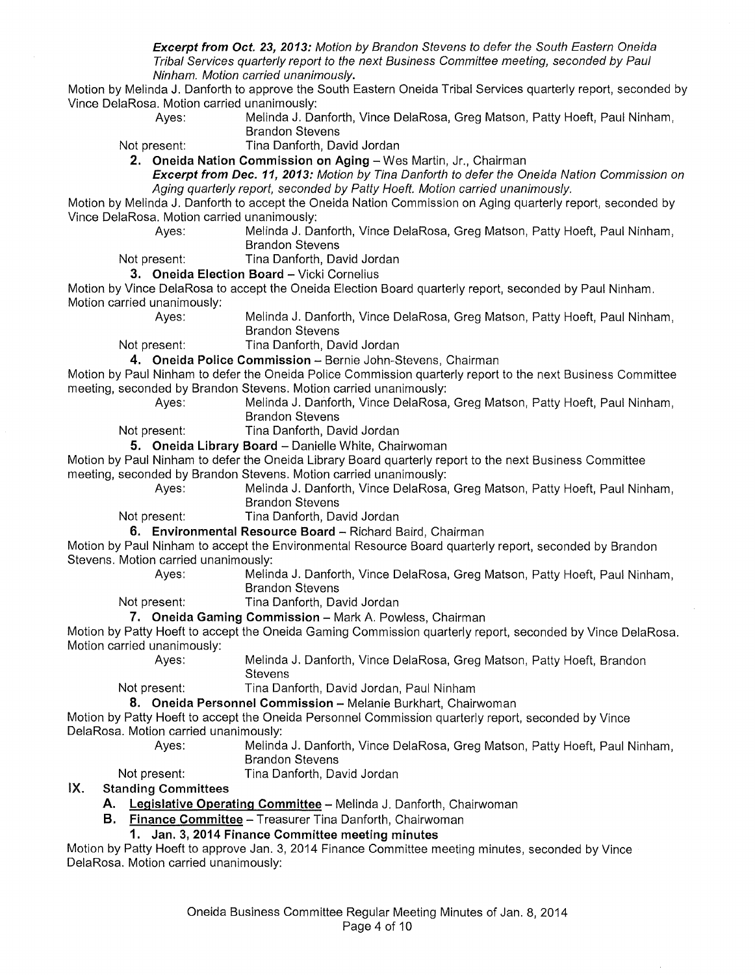**Excerpt from Oct. 23, 2013:** Motion by Brandon Stevens to defer the South Eastern Oneida Tribal Services quarterly report to the next Business Committee meeting, seconded by Paul Ninham. Motion carried unanimously.

Motion by Melinda **J.** Danforth to approve the South Eastern Oneida Tribal Services quarterly report, seconded by Vince DelaRosa. Motion carried unanimously:

Brandon Stevens Not present: Tina Danforth, David Jordan

**2. Oneida Nation Commission on Aging-** Wes Martin, Jr., Chairman

**Excerpt from Dec. 11, 2013:** Motion by Tina Danforth to defer the Oneida Nation Commission on Aging quarterly report, seconded by Patty Hoeft. Motion carried unanimously.

Motion by Melinda J. Danforth to accept the Oneida Nation Commission on Aging quarterly report, seconded by Vince DelaRosa. Motion carried unanimously:

Melinda J. Danforth, Vince DelaRosa, Greg Matson, Patty Hoeft, Paul Ninham, Brandon Stevens

Melinda J. Danforth, Vince DelaRosa, Greg Matson, Patty Hoeft, Paul Ninham,

Not present: Tina Danforth, David Jordan

#### **3. Oneida Election Board - Vicki Cornelius**

Motion by Vince DelaRosa to accept the Oneida Election Board quarterly report, seconded by Paul Ninham. Motion carried unanimously:

Ayes: Melinda J. Danforth, Vince DelaRosa, Greg Matson, Patty Hoeft, Paul Ninham, Brandon Stevens

Not present: Tina Danforth, David Jordan

4. Oneida Police Commission - Bernie John-Stevens, Chairman

Motion by Paul Ninham to defer the Oneida Police Commission quarterly report to the next Business Committee meeting, seconded by Brandon Stevens. Motion carried unanimously:

- 
- Ayes: Melinda J. Danforth, Vince DelaRosa, Greg Matson, Patty Hoeft, Paul Ninham, Brandon Stevens
- Not present: Tina Danforth, David Jordan

**5. Oneida Library Board - Danielle White, Chairwoman** 

Motion by Paul Ninham to defer the Oneida Library Board quarterly report to the next Business Committee meeting, seconded by Brandon Stevens. Motion carried unanimously:

Ayes: Melinda J. Danforth, Vince DelaRosa, Greg Matson, Patty Hoeft, Paul Ninham, Brandon Stevens

Not present: Tina Danforth, David Jordan

**6. Environmental Resource Board - Richard Baird, Chairman** 

Motion by Paul Ninham to accept the Environmental Resource Board quarterly report, seconded by Brandon Stevens. Motion carried unanimously:

Ayes: Melinda J. Danforth, Vince DelaRosa, Greg Matson, Patty Hoeft, Paul Ninham, Brandon Stevens

Not present: Tina Danforth, David Jordan

7. Oneida Gaming Commission - Mark A. Powless, Chairman

Motion by Patty Hoeft to accept the Oneida Gaming Commission quarterly report, seconded by Vince DelaRosa. Motion carried unanimously:

Ayes: Melinda J. Danforth, Vince DelaRosa, Greg Matson, Patty Hoeft, Brandon **Stevens** 

Not present: Tina Danforth, David Jordan, Paul Ninham

8. Oneida Personnel Commission - Melanie Burkhart, Chairwoman

Motion by Patty Hoeft to accept the Oneida Personnel Commission quarterly report, seconded by Vince DelaRosa. Motion carried unanimously:

- Ayes: Melinda J. Danforth, Vince DelaRosa, Greg Matson, Patty Hoeft, Paul Ninham, Brandon Stevens
	-
- Not present: Tina Danforth, David Jordan
- IX. **Standing Committees** 
	- **A. Legislative Operating Committee-** Melinda J. Danforth, Chairwoman
	- **B. Finance Committee-** Treasurer Tina Danforth, Chairwoman

#### **1. Jan. 3, 2014 Finance Committee meeting minutes**

Motion by Patty Hoeft to approve Jan. 3, 2014 Finance Committee meeting minutes, seconded by Vince DelaRosa. Motion carried unanimously: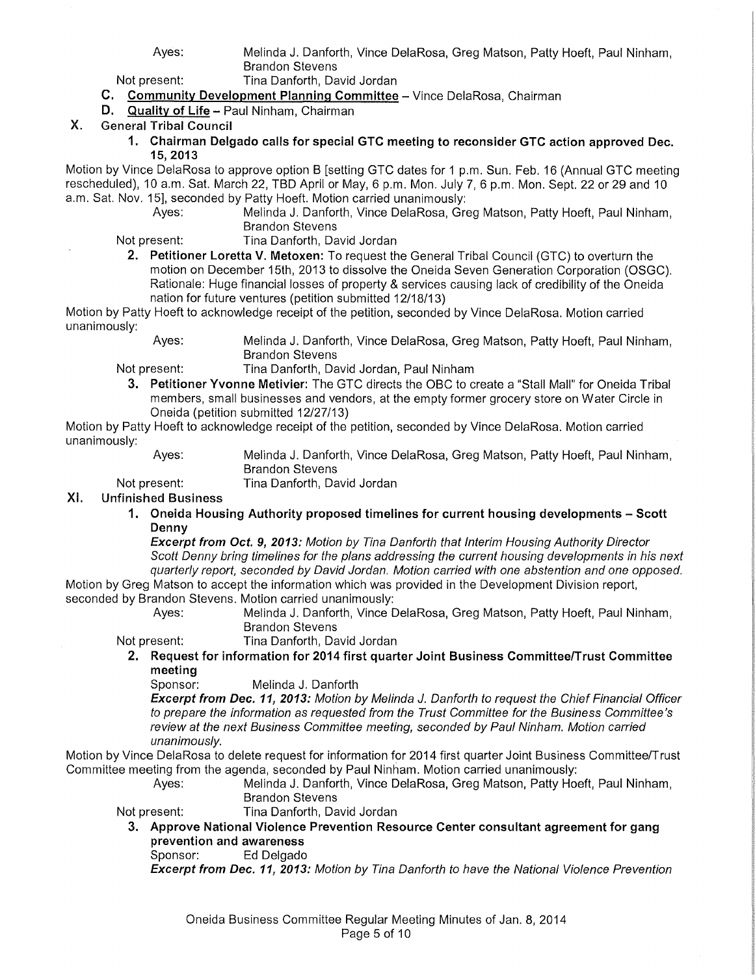Ayes: Melinda J. Danforth, Vince DelaRosa, Greg Matson, Patty Hoeft, Paul Ninham, Brandon Stevens

Not present: Tina Danforth, David Jordan

- C. Community Development Planning Committee- Vince DelaRosa, Chairman
- D. Quality of Life- Paul Ninham, Chairman
- X. General Tribal Council
	- 1. Chairman Delgado calls for special GTC meeting to reconsider GTC action approved Dec. 15,2013

Motion by Vince DelaRosa to approve option B [setting GTC dates for 1 p.m. Sun. Feb. 16 (Annual GTC meeting rescheduled), 10 a.m. Sat. March 22, TBD April or May, 6 p.m. Mon. July 7, 6 p.m. Mon. Sept. 22 or 29 and 10 a.m. Sat. Nov. 15], seconded by Patty Hoeft. Motion carried unanimously:

- Melinda J. Danforth, Vince DelaRosa, Greg Matson, Patty Hoeft, Paul Ninham, Brandon Stevens
- Not present: Tina Danforth, David Jordan
- 2. Petitioner Loretta V. Metoxen: To request the General Tribal Council (GTC) to overturn the motion on December 15th, 2013 to dissolve the Oneida Seven Generation Corporation (OSGC). Rationale: Huge financial losses of property & services causing lack of credibility of the Oneida nation for future ventures (petition submitted 12/18/13)

Motion by Patty Hoeft to acknowledge receipt of the petition, seconded by Vince DelaRosa. Motion carried unanimously:

Ayes: Melinda J. Danforth, Vince DelaRosa, Greg Matson, Patty Hoeft, Paul Ninham, Brandon Stevens

- Not present: Tina Danforth, David Jordan, Paul Ninham
	- 3. Petitioner Yvonne Metivier: The GTC directs the OBC to create a "Stall Mall" for Oneida Tribal members, small businesses and vendors, at the empty former grocery store on Water Circle in Oneida (petition submitted 12/27/13)

Motion by Patty Hoeft to acknowledge receipt of the petition, seconded by Vince DelaRosa. Motion carried unanimously:

Ayes: Not present: Melinda J. Danforth, Vince DelaRosa, Greg Matson, Patty Hoeft, Paul Ninham, Brandon Stevens

Tina Danforth, David Jordan

#### XI. Unfinished Business

1. Oneida Housing Authority proposed timelines for current housing developments - Scott Denny

Excerpt from Oct. 9, 2013: Motion by Tina Danforth that Interim Housing Authority Director Scott Denny bring timelines for the plans addressing the current housing developments in his next quarterly report, seconded by David Jordan. Motion carried with one abstention and one opposed.

Melinda J. Danforth, Vince DelaRosa, Greg Matson, Patty Hoeft, Paul Ninham,

Motion by Greg Matson to accept the information which was provided in the Development Division report, seconded by Brandon Stevens. Motion carried unanimously:

- Brandon Stevens Not present: Tina Danforth, David Jordan
	-
	- 2. Request for information for 2014 first quarter Joint Business Committee/Trust Committee meeting

Sponsor: Melinda J. Danforth

Excerpt from Dec. 11, 2013: Motion by Melinda J. Danforth to request the Chief Financial Officer to prepare the information as requested from the Trust Committee for the Business Committee's review at the next Business Committee meeting, seconded by Paul Ninham. Motion carried unanimously.

Motion by Vince DelaRosa to delete request for information for 2014 first quarter Joint Business Committee/Trust Committee meeting from the agenda, seconded by Paul Ninham. Motion carried unanimously:

Ayes: Melinda J. Danforth, Vince DelaRosa, Greg Matson, Patty Hoeft, Paul Ninham, Brandon Stevens

Not present: Tina Danforth, David Jordan

3. Approve National Violence Prevention Resource Center consultant agreement for gang prevention and awareness

Sponsor: Ed Delgado

Excerpt from Dec. 11, 2013: Motion by Tina Danforth to have the National Violence Prevention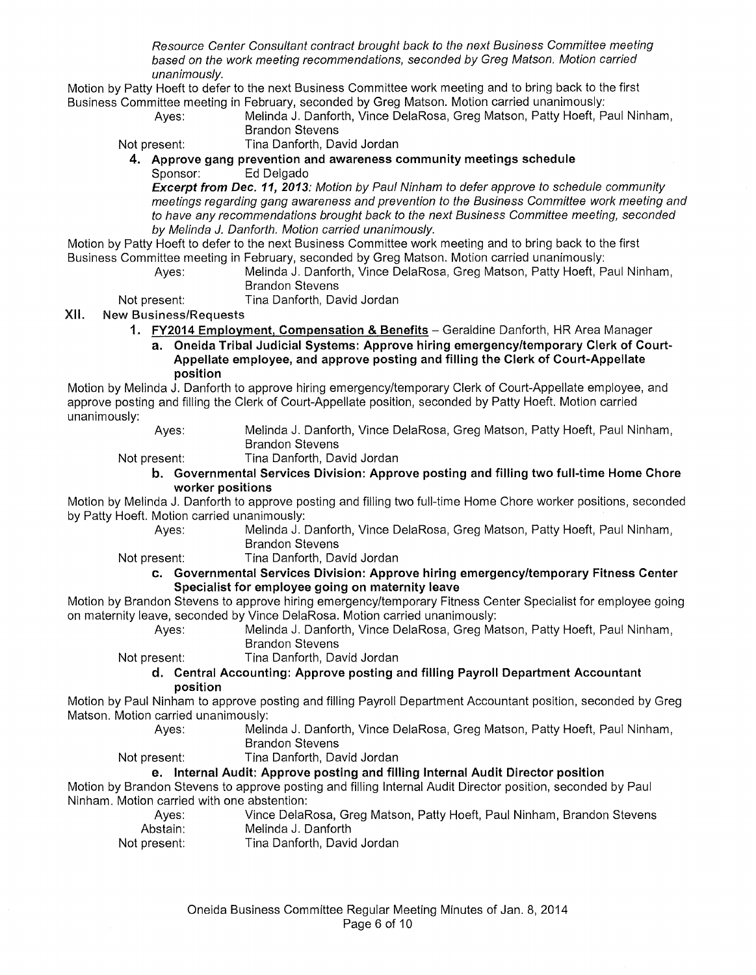Resource Center Consultant contract brought back to the next Business Committee meeting based on the work meeting recommendations, seconded by Greg Matson. Motion carried unanimously.

Motion by Patty Hoeft to defer to the next Business Committee work meeting and to bring back to the first Business Committee meeting in February, seconded by Greg Matson. Motion carried unanimously:

> Ayes: Melinda J. Danforth, Vince DelaRosa, Greg Matson, Patty Hoeft, Paul Ninham, Brandon Stevens

Not present: Tina Danforth, David Jordan **4. Approve gang prevention and awareness community meetings schedule** 

Ed Delgado

**Excerpt from Dec. 11, 2013:** Motion by Paul Ninham to defer approve to schedule community meetings regarding gang awareness and prevention to the Business Committee work meeting and to have any recommendations brought back to the next Business Committee meeting, seconded by Melinda J. Danforth. Motion carried unanimously.

Motion by Patty Hoeft to defer to the next Business Committee work meeting and to bring back to the first Business Committee meeting in February, seconded by Greg Matson. Motion carried unanimously:

> Ayes: Melinda J. Danforth, Vince DelaRosa, Greg Matson, Patty Hoeft, Paul Ninham, Brandon Stevens

Not present: Tina Danforth, David Jordan

XII. New Business/Requests

- **1. FY2014 Employment, Compensation & Benefits-** Geraldine Danforth, HR Area Manager
	- **a. Oneida Tribal Judicial Systems: Approve hiring emergency/temporary Clerk of Court-Appellate employee, and approve posting and filling the Clerk of Court-Appellate position**

Motion by Melinda J. Danforth to approve hiring emergency/temporary Clerk of Court-Appellate employee, and approve posting and filling the Clerk of Court-Appellate position, seconded by Patty Hoeft. Motion carried unanimously:

- Ayes: Melinda J. Danforth, Vince DelaRosa, Greg Matson, Patty Hoeft, Paul Ninham, Brandon Stevens
- 

Not present: Tina Danforth, David Jordan

**b. Governmental Services Division: Approve posting and filling two full-time Home Chore worker positions** 

Motion by Melinda J. Danforth to approve posting and filling two full-time Home Chore worker positions, seconded by Patty Hoeft. Motion carried unanimously:

Ayes: Melinda J. Danforth, Vince DelaRosa, Greg Matson, Patty Hoeft, Paul Ninham, Brandon Stevens

Not present: Tina Danforth, David Jordan

#### **c. Governmental Services Division: Approve hiring emergency/temporary Fitness Center Specialist for employee going on maternity leave**

Motion by Brandon Stevens to approve hiring emergency/temporary Fitness Center Specialist for employee going on maternity leave, seconded by Vince DelaRosa. Motion carried unanimously:

Ayes: Melinda J. Danforth, Vince DelaRosa, Greg Matson, Patty Hoeft, Paul Ninham, Brandon Stevens

Not present: Tina Danforth, David Jordan

#### **d. Central Accounting: Approve posting and filling Payroll Department Accountant position**

Motion by Paul Ninham to approve posting and filling Payroll Department Accountant position, seconded by Greg Matson. Motion carried unanimously:

Ayes: Melinda J. Danforth, Vince DelaRosa, Greg Matson, Patty Hoeft, Paul Ninham, Brandon Stevens

Not present: Tina Danforth, David Jordan

#### **e. Internal Audit: Approve posting and filling Internal Audit Director position**

Motion by Brandon Stevens to approve posting and filling Internal Audit Director position, seconded by Paul Ninham. Motion carried with one abstention:

| Ayes:        | Vince DelaRosa, Greg Matson, Patty Hoeft, Paul Ninham, Brandon Stevens |
|--------------|------------------------------------------------------------------------|
| Abstain: .   | Melinda J. Danforth                                                    |
| Not propont: | Ting Donforth Dould Jordon                                             |

Not present: Tina Danforth, David Jordan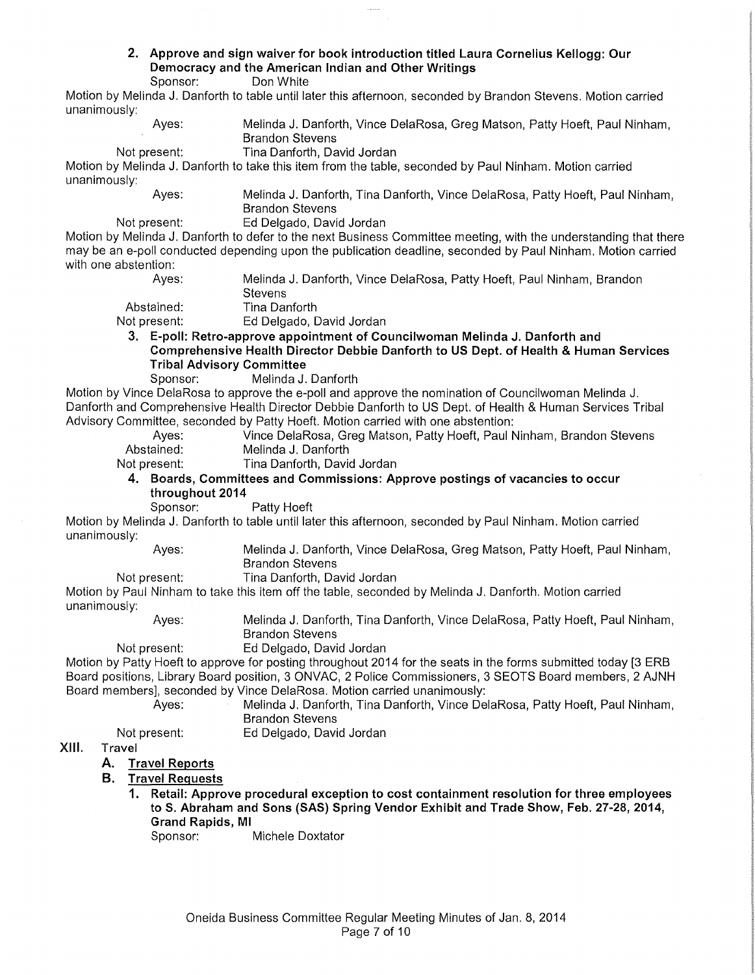### **2. Approve and sign waiver for book introduction titled Laura Cornelius Kellogg: Our Democracy and the American Indian and Other Writings**

Don White

Motion by Melinda J. Danforth to table until later this afternoon, seconded by Brandon Stevens. Motion carried unar

| unanimously:                     |                                                                                                                                                                                                                                 |
|----------------------------------|---------------------------------------------------------------------------------------------------------------------------------------------------------------------------------------------------------------------------------|
| Ayes:                            | Melinda J. Danforth, Vince DelaRosa, Greg Matson, Patty Hoeft, Paul Ninham,<br><b>Brandon Stevens</b>                                                                                                                           |
| Not present:                     | Tina Danforth, David Jordan                                                                                                                                                                                                     |
|                                  | Motion by Melinda J. Danforth to take this item from the table, seconded by Paul Ninham. Motion carried                                                                                                                         |
| unanimously:                     |                                                                                                                                                                                                                                 |
| Ayes:                            | Melinda J. Danforth, Tina Danforth, Vince DelaRosa, Patty Hoeft, Paul Ninham,<br><b>Brandon Stevens</b>                                                                                                                         |
| Not present:                     | Ed Delgado, David Jordan                                                                                                                                                                                                        |
|                                  | Motion by Melinda J. Danforth to defer to the next Business Committee meeting, with the understanding that there<br>may be an e-poll conducted depending upon the publication deadline, seconded by Paul Ninham. Motion carried |
| with one abstention:             |                                                                                                                                                                                                                                 |
| Ayes:                            | Melinda J. Danforth, Vince DelaRosa, Patty Hoeft, Paul Ninham, Brandon<br>Stevens                                                                                                                                               |
| Abstained:                       | Tina Danforth                                                                                                                                                                                                                   |
| Not present:                     | Ed Delgado, David Jordan                                                                                                                                                                                                        |
|                                  | 3. E-poll: Retro-approve appointment of Councilwoman Melinda J. Danforth and                                                                                                                                                    |
|                                  | Comprehensive Health Director Debbie Danforth to US Dept. of Health & Human Services                                                                                                                                            |
| <b>Tribal Advisory Committee</b> |                                                                                                                                                                                                                                 |
| Sponsor:                         | Melinda J. Danforth                                                                                                                                                                                                             |
|                                  | Motion by Vince DelaRosa to approve the e-poll and approve the nomination of Councilwoman Melinda J.                                                                                                                            |
|                                  | Danforth and Comprehensive Health Director Debbie Danforth to US Dept. of Health & Human Services Tribal                                                                                                                        |
|                                  | Advisory Committee, seconded by Patty Hoeft. Motion carried with one abstention:                                                                                                                                                |
| Ayes:                            | Vince DelaRosa, Greg Matson, Patty Hoeft, Paul Ninham, Brandon Stevens                                                                                                                                                          |
| Abstained:                       | Melinda J. Danforth                                                                                                                                                                                                             |
| Not present:                     | Tina Danforth, David Jordan                                                                                                                                                                                                     |
|                                  | 4. Boards, Committees and Commissions: Approve postings of vacancies to occur                                                                                                                                                   |
| throughout 2014                  |                                                                                                                                                                                                                                 |
| Sponsor:                         | Patty Hoeft                                                                                                                                                                                                                     |
|                                  |                                                                                                                                                                                                                                 |
| unanimously:                     | Motion by Melinda J. Danforth to table until later this afternoon, seconded by Paul Ninham. Motion carried                                                                                                                      |
| Ayes:                            | Melinda J. Danforth, Vince DelaRosa, Greg Matson, Patty Hoeft, Paul Ninham,<br><b>Brandon Stevens</b>                                                                                                                           |
| Not present:                     | Tina Danforth, David Jordan                                                                                                                                                                                                     |
| unanimously:                     | Motion by Paul Ninham to take this item off the table, seconded by Melinda J. Danforth. Motion carried                                                                                                                          |
| Ayes:                            | Melinda J. Danforth, Tina Danforth, Vince DelaRosa, Patty Hoeft, Paul Ninham,<br><b>Brandon Stevens</b>                                                                                                                         |
| Not present:                     | Ed Delgado, David Jordan                                                                                                                                                                                                        |
|                                  | Motion by Patty Hoeft to approve for posting throughout 2014 for the seats in the forms submitted today [3 ERB                                                                                                                  |
|                                  | Board positions, Library Board position, 3 ONVAC, 2 Police Commissioners, 3 SEOTS Board members, 2 AJNH                                                                                                                         |
|                                  | Board members], seconded by Vince DelaRosa. Motion carried unanimously:                                                                                                                                                         |
| Ayes:                            | Melinda J. Danforth, Tina Danforth, Vince DelaRosa, Patty Hoeft, Paul Ninham,                                                                                                                                                   |
|                                  | <b>Brandon Stevens</b>                                                                                                                                                                                                          |
| Not present:                     | Ed Delgado, David Jordan                                                                                                                                                                                                        |
| KIII.<br>Travel                  |                                                                                                                                                                                                                                 |
| <b>Travel Reports</b><br>Α.      |                                                                                                                                                                                                                                 |
|                                  |                                                                                                                                                                                                                                 |
| В.<br><b>Travel Requests</b>     |                                                                                                                                                                                                                                 |
| 1.                               | Retail: Approve procedural exception to cost containment resolution for three employees                                                                                                                                         |

**to S. Abraham and Sons (SAS) Spring Vendor Exhibit and Trade Show, Feb. 27-28, 2014, Grand Rapids, Ml** 

Sponsor: Michele Doxtator

XIII.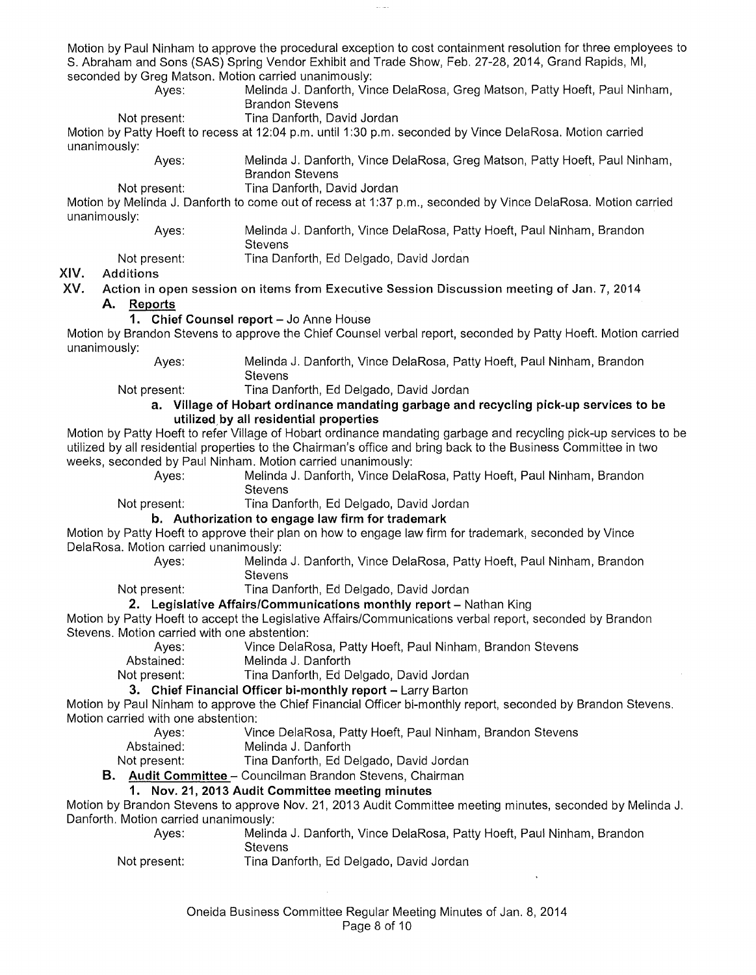Motion by Paul Ninham to approve the procedural exception to cost containment resolution for three employees to S. Abraham and Sons (SAS) Spring Vendor Exhibit and Trade Show, Feb. 27-28, 2014, Grand Rapids, Ml, seconded by Greg Matson. Motion carried unanimously:

Melinda J. Danforth, Vince DelaRosa, Greg Matson, Patty Hoeft, Paul Ninham, Brandon Stevens

Not present: Tina Danforth, David Jordan

Motion by Patty Hoeft to recess at 12:04 p.m. until 1 :30 p.m. seconded by Vince DelaRosa. Motion carried unanimously:

> Ayes: Melinda J. Danforth, Vince DelaRosa, Greg Matson, Patty Hoeft, Paul Ninham, Brandon Stevens

Not present: Tina Danforth, David Jordan Motion by Melinda J. Danforth to come out of recess at 1:37 p.m., seconded by Vince DelaRosa. Motion carried unanimously:

Ayes:

Melinda J. Danforth, Vince DelaRosa, Patty Hoeft, Paul Ninham, Brandon **Stevens** 

Not present: Tina Danforth, Ed Delgado, David Jordan

#### XIV. Additions

- XV. Action in open session on items from Executive Session Discussion meeting of Jan. 7, 2014 **A. Reports** 
	- 1. Chief Counsel report Jo Anne House

Motion by Brandon Stevens to approve the Chief Counsel verbal report, seconded by Patty Hoeft. Motion carried unanimously:

Ayes: Melinda J. Danforth, Vince DelaRosa, Patty Hoeft, Paul Ninham, Brandon **Stevens** 

#### Not present: Tina Danforth, Ed Delgado, David Jordan **a. Village of Hobart ordinance mandating garbage and recycling pick-up services to be**

**utilized.by all residential properties** 

Motion by Patty Hoeft to refer Village of Hobart ordinance mandating garbage and recycling pick-up services to be utilized by all residential properties to the Chairman's office and bring back to the Business Committee in two weeks, seconded by Paul Ninham. Motion carried unanimously:

Ayes: Melinda J. Danforth, Vince DelaRosa, Patty Hoeft, Paul Ninham, Brandon **Stevens** 

Not present: Tina Danforth, Ed Delgado, David Jordan

**b. Authorization to engage law firm for trademark** 

Motion by Patty Hoeft to approve their plan on how to engage law firm for trademark, seconded by Vince DelaRosa. Motion carried unanimously:

Ayes: Melinda J. Danforth, Vince DelaRosa, Patty Hoeft, Paul Ninham, Brandon **Stevens** 

Not present: Tina Danforth, Ed Delgado, David Jordan

#### **2. Legislative Affairs/Communications monthly report** – Nathan King

Motion by Patty Hoeft to accept the Legislative Affairs/Communications verbal report, seconded by Brandon Stevens. Motion carried with one abstention:

Ayes: Vince DelaRosa, Patty Hoeft, Paul Ninham, Brandon Stevens<br>Abstained: Melinda J. Danforth

Melinda J. Danforth

Not present: Tina Danforth, Ed Delgado, David Jordan

#### **3. Chief Financial Officer bi-monthly report-** Larry Barton

Motion by Paul Ninham to approve the Chief Financial Officer bi-monthly report, seconded by Brandon Stevens. Motion carried with one abstention:

- Ayes: Vince DelaRosa, Patty Hoeft, Paul Ninham, Brandon Stevens
- Abstained: Melinda J. Danforth
- Not present: Tina Danforth, Ed Delgado, David Jordan

**B. Audit Committee-** Councilman Brandon Stevens, Chairman

#### **1. Nov. 21, 2013 Audit Committee meeting minutes**

Motion by Brandon Stevens to approve Nov. 21, 2013 Audit Committee meeting minutes, seconded by Melinda J. Danforth. Motion carried unanimously:

| Aves:        | Melinda J. Danforth, Vince DelaRosa, Patty Hoeft, Paul Ninham, Brandon |
|--------------|------------------------------------------------------------------------|
|              | <b>Stevens</b>                                                         |
| Not present: | Tina Danforth, Ed Delgado, David Jordan                                |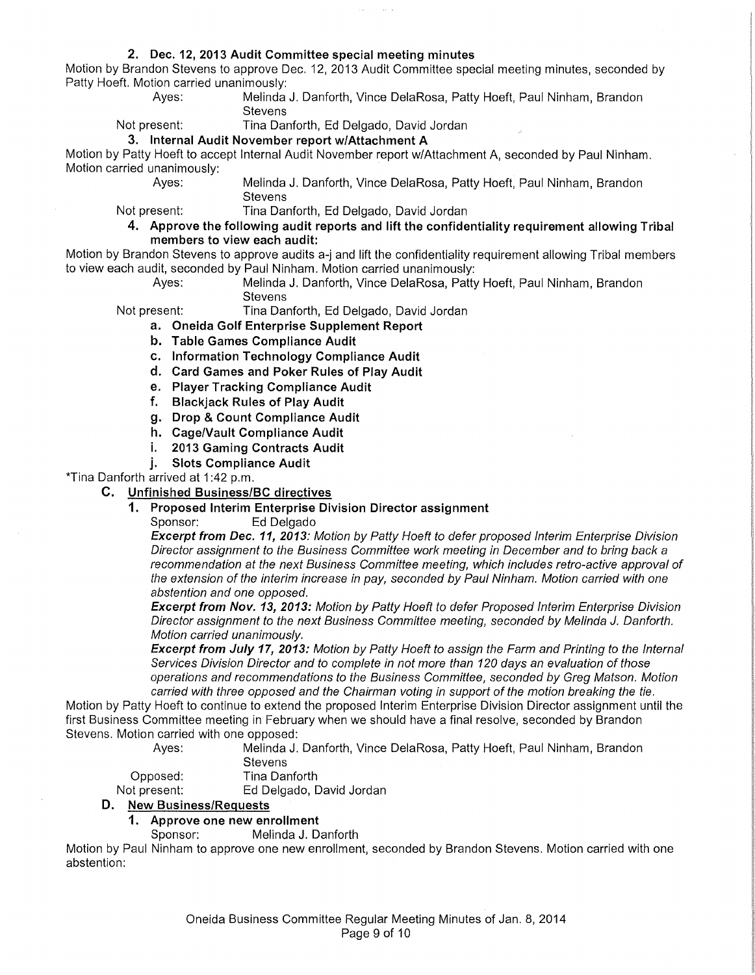#### **2. Dec. 12, 2013 Audit Committee special meeting minutes**

Motion by Brandon Stevens to approve Dec. 12, 2013 Audit Committee special meeting minutes, seconded by Patty Hoeft. Motion carried unanimously:

Melinda J. Danforth, Vince DelaRosa, Patty Hoeft, Paul Ninham, Brandon **Stevens** 

Not present: Tina Danforth, Ed Delgado, David Jordan

**3. Internal Audit November report w/Attachment A** 

Motion by Patty Hoeft to accept Internal Audit November report w/Attachment A, seconded by Paul Ninham. Motion carried unanimously:<br>Ayes:

Melinda J. Danforth, Vince DelaRosa, Patty Hoeft, Paul Ninham, Brandon **Stevens** 

Not present: Tina Danforth, Ed Delgado, David Jordan

**4. Approve the following audit reports and lift the confidentiality requirement allowing Tribal members to view each audit:** 

Motion by Brandon Stevens to approve audits a-j and lift the confidentiality requirement allowing Tribal members to view each audit, seconded by Paul Ninham. Motion carried unanimously:

Ayes: Melinda J. Danforth, Vince DelaRosa, Patty Hoeft, Paul Ninham, Brandon **Stevens** 

Not present: Tina Danforth, Ed Delgado, David Jordan

- **a. Oneida Golf Enterprise Supplement Report**
- **b. Table Games Compliance Audit**
- **c. Information Technology Compliance Audit**
- **d. Card Games and Poker Rules of Play Audit**
- **e. Player Tracking Compliance Audit**
- **f. Blackjack Rules of Play Audit**
- **g. Drop & Count Compliance Audit**
- **h. Cage/Vault Compliance Audit**
- **i. 2013 Gaming Contracts Audit**
- **j. Slots Compliance Audit**

\*Tina Danforth arrived at 1:42 p.m.

**C. Unfinished Business/Be directives** 

## **1. Proposed Interim Enterprise Division Director assignment**

Ed Delgado

**Excerpt from Dec. 11, 2013:** Motion by Patty Hoeft to defer proposed Interim Enterprise Division Director assignment to the Business Committee work meeting in December and to bring back a recommendation at the next Business Committee meeting, which includes retro-active approval of the extension of the interim increase in pay, seconded by Paul Ninham. Motion carried with one abstention and one opposed.

**Excerpt from Nov. 13, 2013:** Motion by Patty Hoeft to defer Proposed Interim Enterprise Division Director assignment to the next Business Committee meeting, seconded by Melinda J. Danforth. Motion carried unanimously.

**Excerpt from July 17, 2013:** Motion by Patty Hoeft to assign the Farm and Printing to the Internal Services Division Director and to complete in not more than 120 days an evaluation of those operations and recommendations to the Business Committee, seconded by Greg Matson. Motion carried with three opposed and the Chairman voting in support of the motion breaking the tie.

Motion by Patty Hoeft to continue to extend the proposed Interim Enterprise Division Director assignment until the first Business Committee meeting in February when we should have a final resolve, seconded by Brandon Stevens. Motion carried with one opposed:

> Ayes: Melinda J. Danforth, Vince DelaRosa, Patty Hoeft, Paul Ninham, Brandon **Stevens**

Opposed: Tina Danforth

Not present: Ed Delgado, David Jordan

**D. New Business/Requests** 

## **1. Approve one new enrollment**

Melinda J. Danforth

Motion by Paul Ninham to approve one new enrollment, seconded by Brandon Stevens. Motion carried with one abstention: